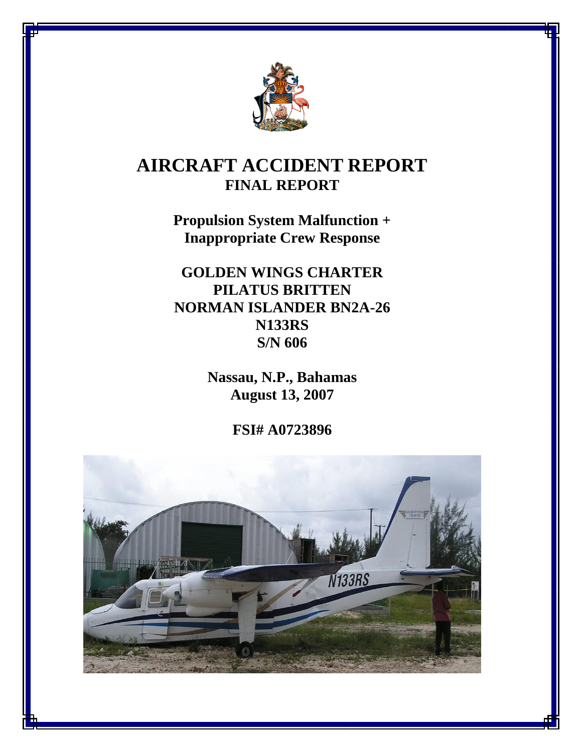

# **AIRCRAFT ACCIDENT REPORT FINAL REPORT**

**Propulsion System Malfunction + Inappropriate Crew Response**

**GOLDEN WINGS CHARTER PILATUS BRITTEN NORMAN ISLANDER BN2A-26 N133RS S/N 606** 

> **Nassau, N.P., Bahamas August 13, 2007**

> > **FSI# A0723896**

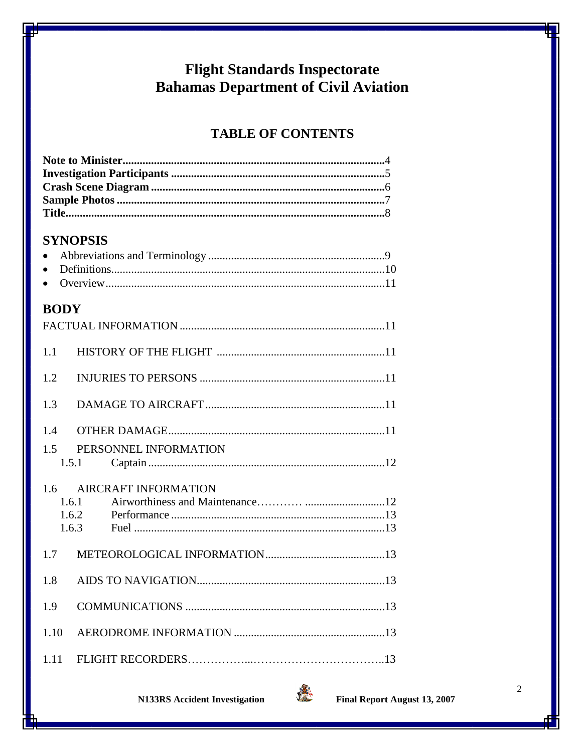# **Flight Standards Inspectorate Bahamas Department of Civil Aviation**

# **TABLE OF CONTENTS**

# **SYNOPSIS**

# **BODY**

| 1.1          |                                |  |
|--------------|--------------------------------|--|
| 1.2          |                                |  |
| 1.3          |                                |  |
| 1.4          |                                |  |
| 1.5          | PERSONNEL INFORMATION<br>1.5.1 |  |
| 1.6<br>1.6.1 | AIRCRAFT INFORMATION<br>1.6.2  |  |
| 1.7          |                                |  |
| 1.8          |                                |  |
| 1.9          |                                |  |
| 1.10         |                                |  |
| 1.11         |                                |  |

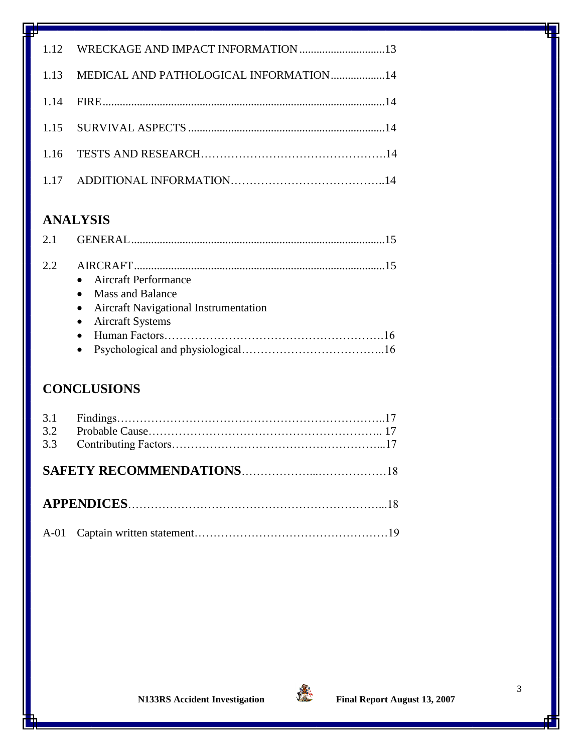| 1.13 MEDICAL AND PATHOLOGICAL INFORMATION14 |  |
|---------------------------------------------|--|
|                                             |  |
|                                             |  |
|                                             |  |
|                                             |  |

# **ANALYSIS**

| 2.2 |                                         |  |
|-----|-----------------------------------------|--|
|     | • Aircraft Performance                  |  |
|     | • Mass and Balance                      |  |
|     | • Aircraft Navigational Instrumentation |  |
|     | • Aircraft Systems                      |  |
|     |                                         |  |
|     |                                         |  |

# **CONCLUSIONS**

| 3.1<br>3.2<br>3.3 |  |  |
|-------------------|--|--|
|                   |  |  |
|                   |  |  |
|                   |  |  |

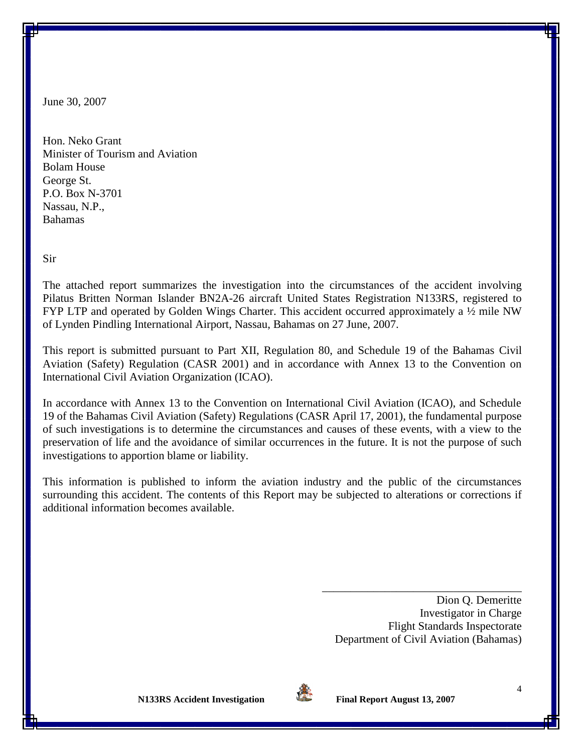June 30, 2007

Hon. Neko Grant Minister of Tourism and Aviation Bolam House George St. P.O. Box N-3701 Nassau, N.P., Bahamas

Sir

The attached report summarizes the investigation into the circumstances of the accident involving Pilatus Britten Norman Islander BN2A-26 aircraft United States Registration N133RS, registered to FYP LTP and operated by Golden Wings Charter. This accident occurred approximately a  $\frac{1}{2}$  mile NW of Lynden Pindling International Airport, Nassau, Bahamas on 27 June, 2007.

This report is submitted pursuant to Part XII, Regulation 80, and Schedule 19 of the Bahamas Civil Aviation (Safety) Regulation (CASR 2001) and in accordance with Annex 13 to the Convention on International Civil Aviation Organization (ICAO).

In accordance with Annex 13 to the Convention on International Civil Aviation (ICAO), and Schedule 19 of the Bahamas Civil Aviation (Safety) Regulations (CASR April 17, 2001), the fundamental purpose of such investigations is to determine the circumstances and causes of these events, with a view to the preservation of life and the avoidance of similar occurrences in the future. It is not the purpose of such investigations to apportion blame or liability.

This information is published to inform the aviation industry and the public of the circumstances surrounding this accident. The contents of this Report may be subjected to alterations or corrections if additional information becomes available.

> Dion Q. Demeritte Investigator in Charge Flight Standards Inspectorate Department of Civil Aviation (Bahamas)

\_\_\_\_\_\_\_\_\_\_\_\_\_\_\_\_\_\_\_\_\_\_\_\_\_\_\_\_\_\_\_\_\_\_\_

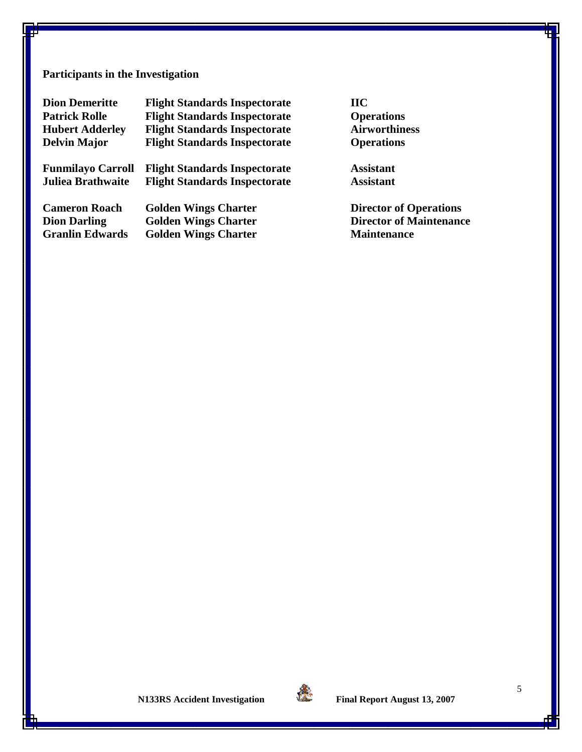# **Participants in the Investigation**

| <b>Dion Demeritte</b>    | <b>Flight Standards Inspectorate</b> | $\bf{H}\bf{C}$                 |
|--------------------------|--------------------------------------|--------------------------------|
| <b>Patrick Rolle</b>     | <b>Flight Standards Inspectorate</b> | <b>Operations</b>              |
| <b>Hubert Adderley</b>   | <b>Flight Standards Inspectorate</b> | <b>Airworthiness</b>           |
| <b>Delvin Major</b>      | <b>Flight Standards Inspectorate</b> | <b>Operations</b>              |
| <b>Funmilayo Carroll</b> | <b>Flight Standards Inspectorate</b> | <b>Assistant</b>               |
| <b>Juliea Brathwaite</b> | <b>Flight Standards Inspectorate</b> | <b>Assistant</b>               |
| <b>Cameron Roach</b>     | <b>Golden Wings Charter</b>          | <b>Director of Operations</b>  |
| <b>Dion Darling</b>      | <b>Golden Wings Charter</b>          | <b>Director of Maintenance</b> |
| <b>Granlin Edwards</b>   | <b>Golden Wings Charter</b>          | <b>Maintenance</b>             |

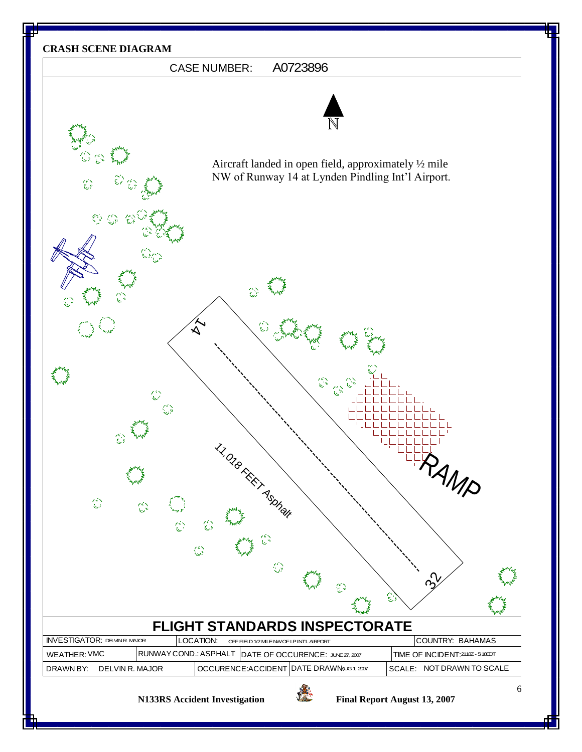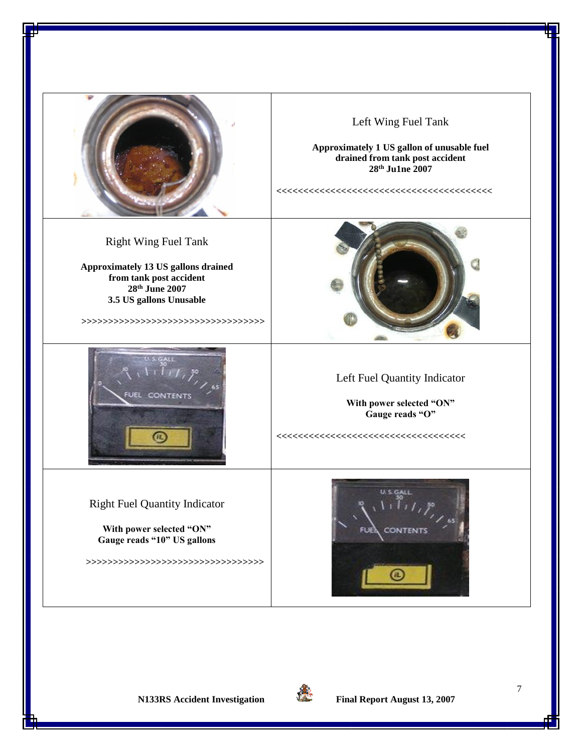

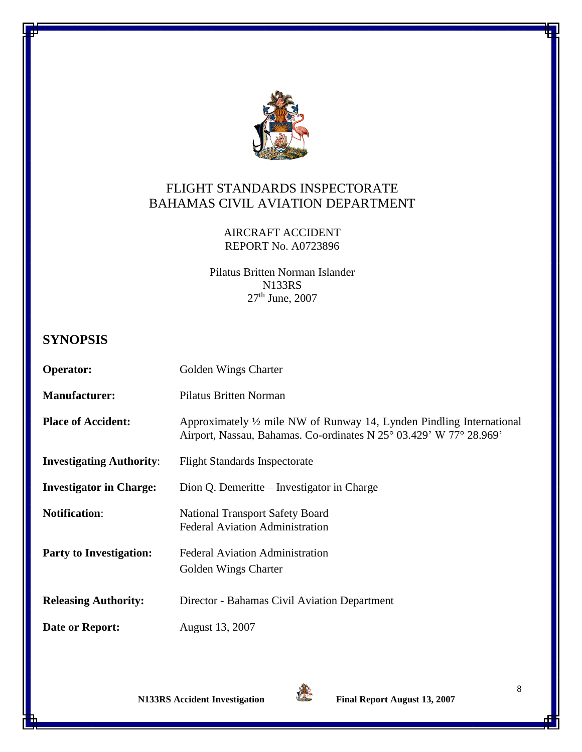

# FLIGHT STANDARDS INSPECTORATE BAHAMAS CIVIL AVIATION DEPARTMENT

### AIRCRAFT ACCIDENT REPORT No. A0723896

Pilatus Britten Norman Islander N133RS 27<sup>th</sup> June, 2007

# **SYNOPSIS**

| <b>Operator:</b>                | Golden Wings Charter                                                                                                                        |
|---------------------------------|---------------------------------------------------------------------------------------------------------------------------------------------|
| <b>Manufacturer:</b>            | <b>Pilatus Britten Norman</b>                                                                                                               |
| <b>Place of Accident:</b>       | Approximately 1/2 mile NW of Runway 14, Lynden Pindling International<br>Airport, Nassau, Bahamas. Co-ordinates N 25° 03.429' W 77° 28.969' |
| <b>Investigating Authority:</b> | <b>Flight Standards Inspectorate</b>                                                                                                        |
| <b>Investigator in Charge:</b>  | Dion Q. Demeritte – Investigator in Charge                                                                                                  |
| <b>Notification:</b>            | <b>National Transport Safety Board</b><br><b>Federal Aviation Administration</b>                                                            |
| <b>Party to Investigation:</b>  | <b>Federal Aviation Administration</b>                                                                                                      |
|                                 | Golden Wings Charter                                                                                                                        |
| <b>Releasing Authority:</b>     | Director - Bahamas Civil Aviation Department                                                                                                |
| Date or Report:                 | August 13, 2007                                                                                                                             |



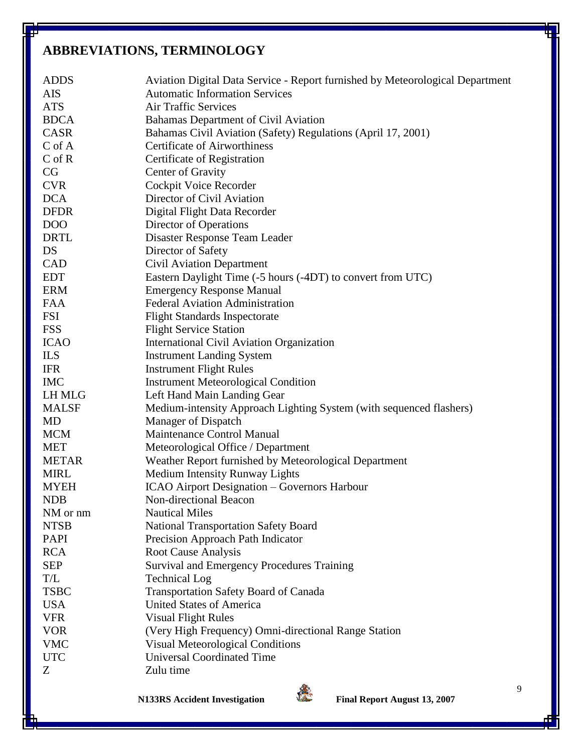# **ABBREVIATIONS, TERMINOLOGY**

| <b>ADDS</b>  | Aviation Digital Data Service - Report furnished by Meteorological Department |
|--------------|-------------------------------------------------------------------------------|
| AIS          | <b>Automatic Information Services</b>                                         |
| <b>ATS</b>   | <b>Air Traffic Services</b>                                                   |
| <b>BDCA</b>  | Bahamas Department of Civil Aviation                                          |
| <b>CASR</b>  | Bahamas Civil Aviation (Safety) Regulations (April 17, 2001)                  |
| $C$ of $A$   | <b>Certificate of Airworthiness</b>                                           |
| $C$ of $R$   | Certificate of Registration                                                   |
| CG           | Center of Gravity                                                             |
| <b>CVR</b>   | Cockpit Voice Recorder                                                        |
| <b>DCA</b>   | Director of Civil Aviation                                                    |
| <b>DFDR</b>  | Digital Flight Data Recorder                                                  |
| DOO          | Director of Operations                                                        |
| <b>DRTL</b>  | Disaster Response Team Leader                                                 |
| DS           | Director of Safety                                                            |
| <b>CAD</b>   | <b>Civil Aviation Department</b>                                              |
| <b>EDT</b>   | Eastern Daylight Time (-5 hours (-4DT) to convert from UTC)                   |
| <b>ERM</b>   | <b>Emergency Response Manual</b>                                              |
| <b>FAA</b>   | <b>Federal Aviation Administration</b>                                        |
| <b>FSI</b>   | <b>Flight Standards Inspectorate</b>                                          |
| <b>FSS</b>   | <b>Flight Service Station</b>                                                 |
| <b>ICAO</b>  | <b>International Civil Aviation Organization</b>                              |
| ILS          | <b>Instrument Landing System</b>                                              |
| <b>IFR</b>   | <b>Instrument Flight Rules</b>                                                |
| <b>IMC</b>   | <b>Instrument Meteorological Condition</b>                                    |
| LH MLG       | Left Hand Main Landing Gear                                                   |
| <b>MALSF</b> | Medium-intensity Approach Lighting System (with sequenced flashers)           |
| MD           | Manager of Dispatch                                                           |
| <b>MCM</b>   | <b>Maintenance Control Manual</b>                                             |
| <b>MET</b>   | Meteorological Office / Department                                            |
| <b>METAR</b> | Weather Report furnished by Meteorological Department                         |
| <b>MIRL</b>  | <b>Medium Intensity Runway Lights</b>                                         |
| <b>MYEH</b>  | ICAO Airport Designation - Governors Harbour                                  |
| <b>NDB</b>   | Non-directional Beacon                                                        |
| NM or nm     | <b>Nautical Miles</b>                                                         |
| <b>NTSB</b>  | <b>National Transportation Safety Board</b>                                   |
| <b>PAPI</b>  | Precision Approach Path Indicator                                             |
| <b>RCA</b>   | <b>Root Cause Analysis</b>                                                    |
| <b>SEP</b>   | <b>Survival and Emergency Procedures Training</b>                             |
| T/L          | <b>Technical Log</b>                                                          |
| <b>TSBC</b>  | <b>Transportation Safety Board of Canada</b>                                  |
| <b>USA</b>   | <b>United States of America</b>                                               |
| <b>VFR</b>   | <b>Visual Flight Rules</b>                                                    |
| <b>VOR</b>   | (Very High Frequency) Omni-directional Range Station                          |
| <b>VMC</b>   | <b>Visual Meteorological Conditions</b>                                       |
| <b>UTC</b>   | <b>Universal Coordinated Time</b>                                             |
| Ζ            | Zulu time                                                                     |
|              |                                                                               |

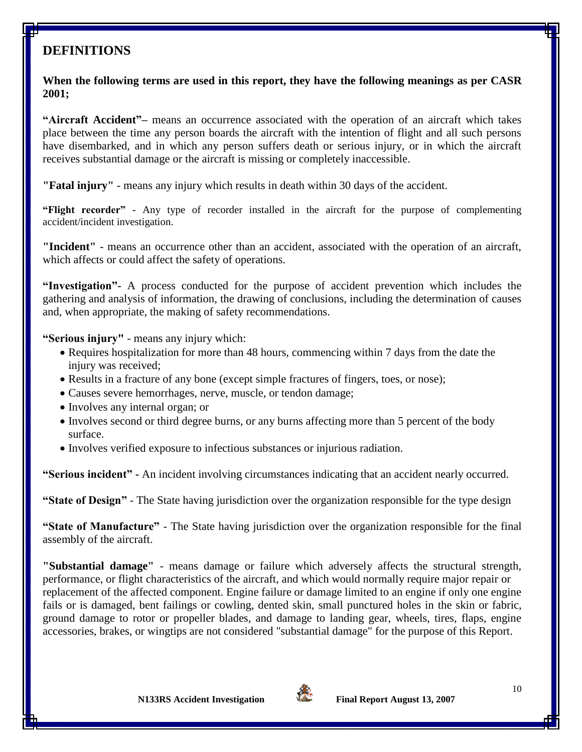# **DEFINITIONS**

**When the following terms are used in this report, they have the following meanings as per CASR 2001;**

**"Aircraft Accident"–** means an occurrence associated with the operation of an aircraft which takes place between the time any person boards the aircraft with the intention of flight and all such persons have disembarked, and in which any person suffers death or serious injury, or in which the aircraft receives substantial damage or the aircraft is missing or completely inaccessible.

**"Fatal injury"** - means any injury which results in death within 30 days of the accident.

**"Flight recorder"** - Any type of recorder installed in the aircraft for the purpose of complementing accident/incident investigation.

**"Incident"** - means an occurrence other than an accident, associated with the operation of an aircraft, which affects or could affect the safety of operations.

**"Investigation"-** A process conducted for the purpose of accident prevention which includes the gathering and analysis of information, the drawing of conclusions, including the determination of causes and, when appropriate, the making of safety recommendations.

**"Serious injury"** - means any injury which:

- Requires hospitalization for more than 48 hours, commencing within 7 days from the date the injury was received;
- Results in a fracture of any bone (except simple fractures of fingers, toes, or nose);
- Causes severe hemorrhages, nerve, muscle, or tendon damage;
- Involves any internal organ; or
- Involves second or third degree burns, or any burns affecting more than 5 percent of the body surface.
- Involves verified exposure to infectious substances or injurious radiation.

**"Serious incident" -** An incident involving circumstances indicating that an accident nearly occurred.

**"State of Design"** - The State having jurisdiction over the organization responsible for the type design

**"State of Manufacture"** - The State having jurisdiction over the organization responsible for the final assembly of the aircraft.

**"Substantial damage"** - means damage or failure which adversely affects the structural strength, performance, or flight characteristics of the aircraft, and which would normally require major repair or replacement of the affected component. Engine failure or damage limited to an engine if only one engine fails or is damaged, bent failings or cowling, dented skin, small punctured holes in the skin or fabric, ground damage to rotor or propeller blades, and damage to landing gear, wheels, tires, flaps, engine accessories, brakes, or wingtips are not considered "substantial damage" for the purpose of this Report.

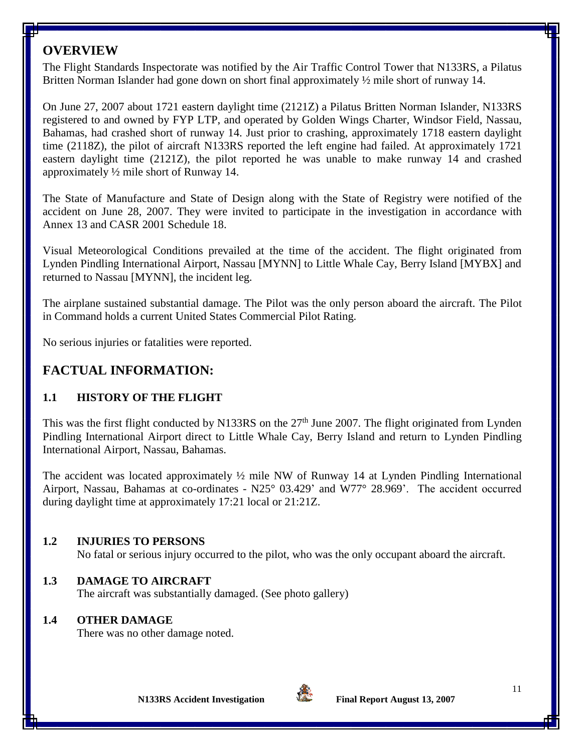## **OVERVIEW**

The Flight Standards Inspectorate was notified by the Air Traffic Control Tower that N133RS, a Pilatus Britten Norman Islander had gone down on short final approximately  $\frac{1}{2}$  mile short of runway 14.

On June 27, 2007 about 1721 eastern daylight time (2121Z) a Pilatus Britten Norman Islander, N133RS registered to and owned by FYP LTP, and operated by Golden Wings Charter, Windsor Field, Nassau, Bahamas, had crashed short of runway 14. Just prior to crashing, approximately 1718 eastern daylight time (2118Z), the pilot of aircraft N133RS reported the left engine had failed. At approximately 1721 eastern daylight time (2121Z), the pilot reported he was unable to make runway 14 and crashed approximately ½ mile short of Runway 14.

The State of Manufacture and State of Design along with the State of Registry were notified of the accident on June 28, 2007. They were invited to participate in the investigation in accordance with Annex 13 and CASR 2001 Schedule 18.

Visual Meteorological Conditions prevailed at the time of the accident. The flight originated from Lynden Pindling International Airport, Nassau [MYNN] to Little Whale Cay, Berry Island [MYBX] and returned to Nassau [MYNN], the incident leg.

The airplane sustained substantial damage. The Pilot was the only person aboard the aircraft. The Pilot in Command holds a current United States Commercial Pilot Rating.

No serious injuries or fatalities were reported.

# **FACTUAL INFORMATION:**

### **1.1 HISTORY OF THE FLIGHT**

This was the first flight conducted by N133RS on the  $27<sup>th</sup>$  June 2007. The flight originated from Lynden Pindling International Airport direct to Little Whale Cay, Berry Island and return to Lynden Pindling International Airport, Nassau, Bahamas.

The accident was located approximately  $\frac{1}{2}$  mile NW of Runway 14 at Lynden Pindling International Airport, Nassau, Bahamas at co-ordinates - N25° 03.429' and W77° 28.969'. The accident occurred during daylight time at approximately 17:21 local or 21:21Z.

#### **1.2 INJURIES TO PERSONS**

No fatal or serious injury occurred to the pilot, who was the only occupant aboard the aircraft.

### **1.3 DAMAGE TO AIRCRAFT**

The aircraft was substantially damaged. (See photo gallery)

### **1.4 OTHER DAMAGE**

There was no other damage noted.

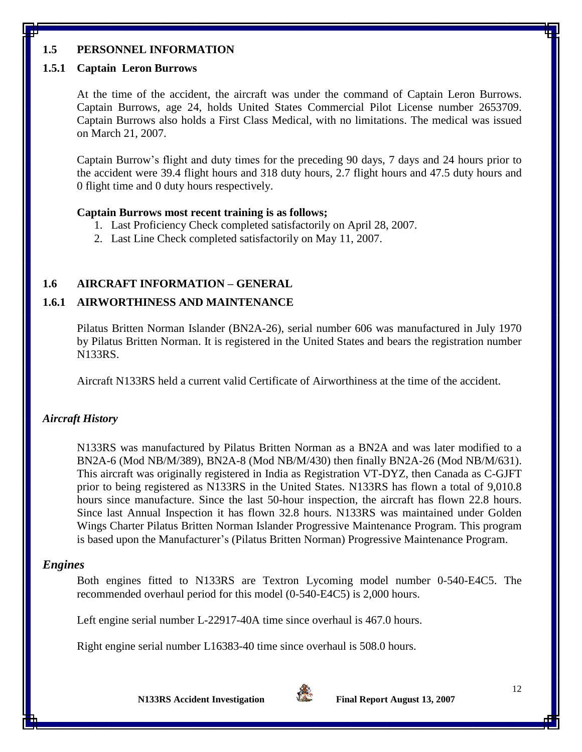### **1.5 PERSONNEL INFORMATION**

#### **1.5.1 Captain Leron Burrows**

At the time of the accident, the aircraft was under the command of Captain Leron Burrows. Captain Burrows, age 24, holds United States Commercial Pilot License number 2653709. Captain Burrows also holds a First Class Medical, with no limitations. The medical was issued on March 21, 2007.

Captain Burrow's flight and duty times for the preceding 90 days, 7 days and 24 hours prior to the accident were 39.4 flight hours and 318 duty hours, 2.7 flight hours and 47.5 duty hours and 0 flight time and 0 duty hours respectively.

#### **Captain Burrows most recent training is as follows;**

- 1. Last Proficiency Check completed satisfactorily on April 28, 2007.
- 2. Last Line Check completed satisfactorily on May 11, 2007.

#### **1.6 AIRCRAFT INFORMATION – GENERAL**

#### **1.6.1 AIRWORTHINESS AND MAINTENANCE**

Pilatus Britten Norman Islander (BN2A-26), serial number 606 was manufactured in July 1970 by Pilatus Britten Norman. It is registered in the United States and bears the registration number N133RS.

Aircraft N133RS held a current valid Certificate of Airworthiness at the time of the accident.

#### *Aircraft History*

N133RS was manufactured by Pilatus Britten Norman as a BN2A and was later modified to a BN2A-6 (Mod NB/M/389), BN2A-8 (Mod NB/M/430) then finally BN2A-26 (Mod NB/M/631). This aircraft was originally registered in India as Registration VT-DYZ, then Canada as C-GJFT prior to being registered as N133RS in the United States. N133RS has flown a total of 9,010.8 hours since manufacture. Since the last 50-hour inspection, the aircraft has flown 22.8 hours. Since last Annual Inspection it has flown 32.8 hours. N133RS was maintained under Golden Wings Charter Pilatus Britten Norman Islander Progressive Maintenance Program. This program is based upon the Manufacturer's (Pilatus Britten Norman) Progressive Maintenance Program.

#### *Engines*

Both engines fitted to N133RS are Textron Lycoming model number 0-540-E4C5. The recommended overhaul period for this model (0-540-E4C5) is 2,000 hours.

Left engine serial number L-22917-40A time since overhaul is 467.0 hours.

Right engine serial number L16383-40 time since overhaul is 508.0 hours.

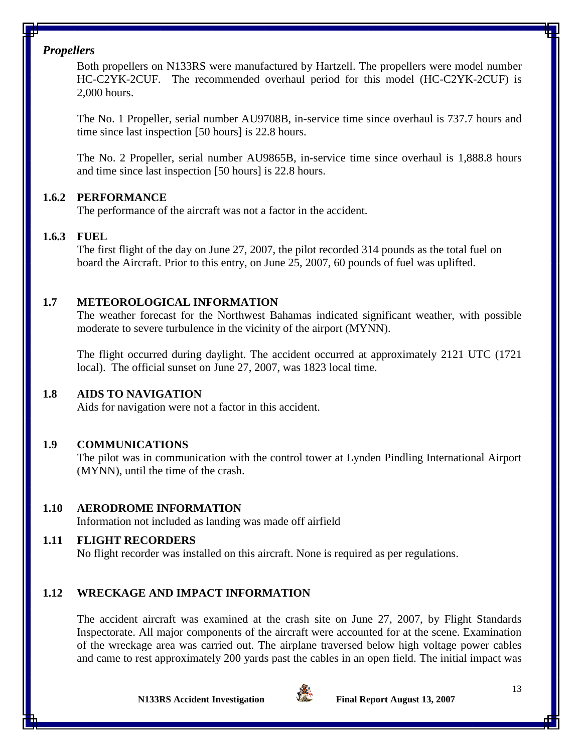#### *Propellers*

Both propellers on N133RS were manufactured by Hartzell. The propellers were model number HC-C2YK-2CUF. The recommended overhaul period for this model (HC-C2YK-2CUF) is 2,000 hours.

The No. 1 Propeller, serial number AU9708B, in-service time since overhaul is 737.7 hours and time since last inspection [50 hours] is 22.8 hours.

The No. 2 Propeller, serial number AU9865B, in-service time since overhaul is 1,888.8 hours and time since last inspection [50 hours] is 22.8 hours.

## **1.6.2 PERFORMANCE**

The performance of the aircraft was not a factor in the accident.

## **1.6.3 FUEL**

The first flight of the day on June 27, 2007, the pilot recorded 314 pounds as the total fuel on board the Aircraft. Prior to this entry, on June 25, 2007, 60 pounds of fuel was uplifted.

## **1.7 METEOROLOGICAL INFORMATION**

The weather forecast for the Northwest Bahamas indicated significant weather, with possible moderate to severe turbulence in the vicinity of the airport (MYNN).

The flight occurred during daylight. The accident occurred at approximately 2121 UTC (1721 local). The official sunset on June 27, 2007, was 1823 local time.

## **1.8 AIDS TO NAVIGATION**

Aids for navigation were not a factor in this accident.

## **1.9 COMMUNICATIONS**

The pilot was in communication with the control tower at Lynden Pindling International Airport (MYNN), until the time of the crash.

### **1.10 AERODROME INFORMATION**

Information not included as landing was made off airfield

## **1.11 FLIGHT RECORDERS**

No flight recorder was installed on this aircraft. None is required as per regulations.

## **1.12 WRECKAGE AND IMPACT INFORMATION**

The accident aircraft was examined at the crash site on June 27, 2007, by Flight Standards Inspectorate. All major components of the aircraft were accounted for at the scene. Examination of the wreckage area was carried out. The airplane traversed below high voltage power cables and came to rest approximately 200 yards past the cables in an open field. The initial impact was

**N133RS Accident Investigation Final Report August 13, 2007**

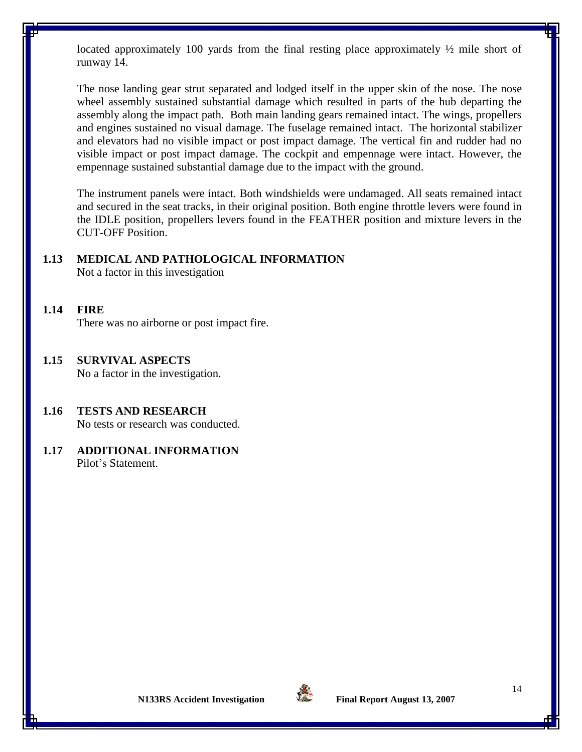located approximately 100 yards from the final resting place approximately ½ mile short of runway 14.

The nose landing gear strut separated and lodged itself in the upper skin of the nose. The nose wheel assembly sustained substantial damage which resulted in parts of the hub departing the assembly along the impact path. Both main landing gears remained intact. The wings, propellers and engines sustained no visual damage. The fuselage remained intact. The horizontal stabilizer and elevators had no visible impact or post impact damage. The vertical fin and rudder had no visible impact or post impact damage. The cockpit and empennage were intact. However, the empennage sustained substantial damage due to the impact with the ground.

The instrument panels were intact. Both windshields were undamaged. All seats remained intact and secured in the seat tracks, in their original position. Both engine throttle levers were found in the IDLE position, propellers levers found in the FEATHER position and mixture levers in the CUT-OFF Position.

#### **1.13 MEDICAL AND PATHOLOGICAL INFORMATION**

Not a factor in this investigation

- **1.14 FIRE** There was no airborne or post impact fire.
- **1.15 SURVIVAL ASPECTS** No a factor in the investigation.
- **1.16 TESTS AND RESEARCH** No tests or research was conducted.
- **1.17 ADDITIONAL INFORMATION** Pilot's Statement.

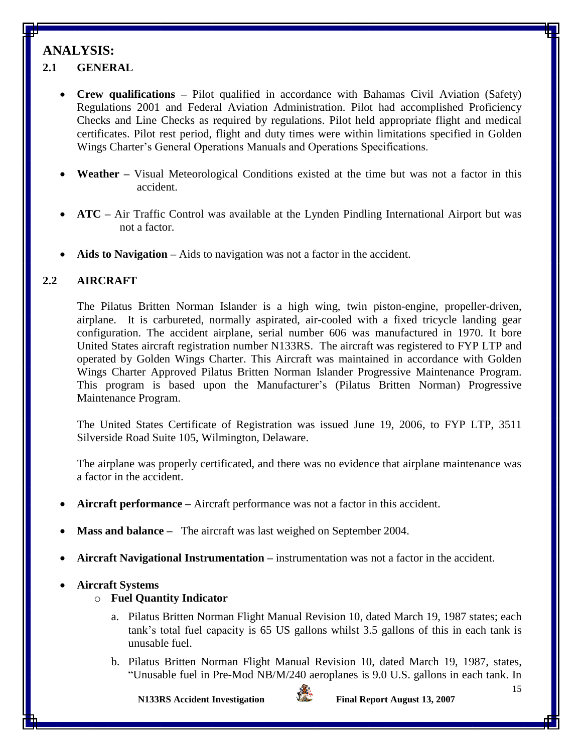# **ANALYSIS:**

## **2.1 GENERAL**

- **Crew qualifications** Pilot qualified in accordance with Bahamas Civil Aviation (Safety) Regulations 2001 and Federal Aviation Administration. Pilot had accomplished Proficiency Checks and Line Checks as required by regulations. Pilot held appropriate flight and medical certificates. Pilot rest period, flight and duty times were within limitations specified in Golden Wings Charter's General Operations Manuals and Operations Specifications.
- **Weather –** Visual Meteorological Conditions existed at the time but was not a factor in this accident.
- **ATC –** Air Traffic Control was available at the Lynden Pindling International Airport but was not a factor.
- **Aids to Navigation –** Aids to navigation was not a factor in the accident.

## **2.2 AIRCRAFT**

The Pilatus Britten Norman Islander is a high wing, twin piston-engine, propeller-driven, airplane. It is carbureted, normally aspirated, air-cooled with a fixed tricycle landing gear configuration. The accident airplane, serial number 606 was manufactured in 1970. It bore United States aircraft registration number N133RS. The aircraft was registered to FYP LTP and operated by Golden Wings Charter. This Aircraft was maintained in accordance with Golden Wings Charter Approved Pilatus Britten Norman Islander Progressive Maintenance Program. This program is based upon the Manufacturer's (Pilatus Britten Norman) Progressive Maintenance Program.

The United States Certificate of Registration was issued June 19, 2006, to FYP LTP, 3511 Silverside Road Suite 105, Wilmington, Delaware.

The airplane was properly certificated, and there was no evidence that airplane maintenance was a factor in the accident.

- **Aircraft performance –** Aircraft performance was not a factor in this accident.
- **Mass and balance –** The aircraft was last weighed on September 2004.
- **Aircraft Navigational Instrumentation –** instrumentation was not a factor in the accident.

#### **Aircraft Systems**

### o **Fuel Quantity Indicator**

- a. Pilatus Britten Norman Flight Manual Revision 10, dated March 19, 1987 states; each tank's total fuel capacity is 65 US gallons whilst 3.5 gallons of this in each tank is unusable fuel.
- b. Pilatus Britten Norman Flight Manual Revision 10, dated March 19, 1987, states, "Unusable fuel in Pre-Mod NB/M/240 aeroplanes is 9.0 U.S. gallons in each tank. In



**N133RS Accident Investigation Final Report August 13, 2007**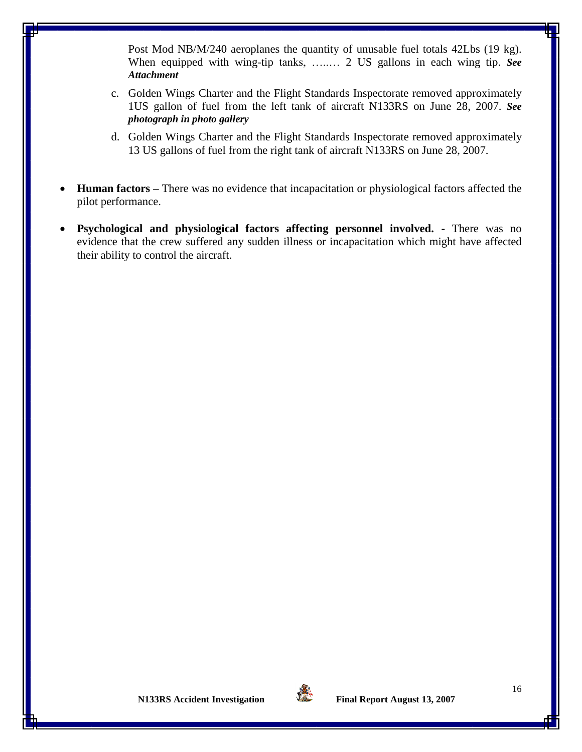Post Mod NB/M/240 aeroplanes the quantity of unusable fuel totals 42Lbs (19 kg). When equipped with wing-tip tanks, …..… 2 US gallons in each wing tip. *See Attachment*

- c. Golden Wings Charter and the Flight Standards Inspectorate removed approximately 1US gallon of fuel from the left tank of aircraft N133RS on June 28, 2007. *See photograph in photo gallery*
- d. Golden Wings Charter and the Flight Standards Inspectorate removed approximately 13 US gallons of fuel from the right tank of aircraft N133RS on June 28, 2007.
- **Human factors –** There was no evidence that incapacitation or physiological factors affected the pilot performance.
- **Psychological and physiological factors affecting personnel involved. -** There was no evidence that the crew suffered any sudden illness or incapacitation which might have affected their ability to control the aircraft.

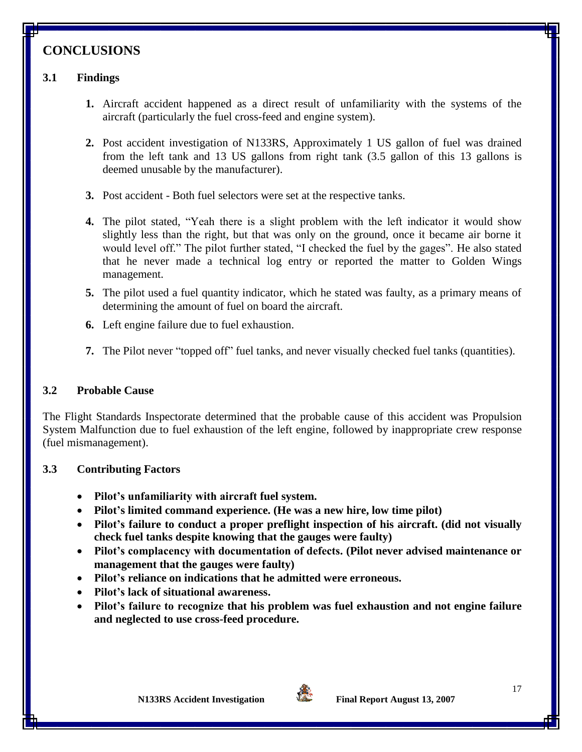# **CONCLUSIONS**

## **3.1 Findings**

- **1.** Aircraft accident happened as a direct result of unfamiliarity with the systems of the aircraft (particularly the fuel cross-feed and engine system).
- **2.** Post accident investigation of N133RS, Approximately 1 US gallon of fuel was drained from the left tank and 13 US gallons from right tank (3.5 gallon of this 13 gallons is deemed unusable by the manufacturer).
- **3.** Post accident Both fuel selectors were set at the respective tanks.
- **4.** The pilot stated, "Yeah there is a slight problem with the left indicator it would show slightly less than the right, but that was only on the ground, once it became air borne it would level off." The pilot further stated, "I checked the fuel by the gages". He also stated that he never made a technical log entry or reported the matter to Golden Wings management.
- **5.** The pilot used a fuel quantity indicator, which he stated was faulty, as a primary means of determining the amount of fuel on board the aircraft.
- **6.** Left engine failure due to fuel exhaustion.
- **7.** The Pilot never "topped off" fuel tanks, and never visually checked fuel tanks (quantities).

#### **3.2 Probable Cause**

The Flight Standards Inspectorate determined that the probable cause of this accident was Propulsion System Malfunction due to fuel exhaustion of the left engine, followed by inappropriate crew response (fuel mismanagement).

#### **3.3 Contributing Factors**

- **Pilot's unfamiliarity with aircraft fuel system.**
- **Pilot's limited command experience. (He was a new hire, low time pilot)**
- **Pilot's failure to conduct a proper preflight inspection of his aircraft. (did not visually check fuel tanks despite knowing that the gauges were faulty)**
- **Pilot's complacency with documentation of defects. (Pilot never advised maintenance or management that the gauges were faulty)**
- **Pilot's reliance on indications that he admitted were erroneous.**
- **Pilot's lack of situational awareness.**
- **Pilot's failure to recognize that his problem was fuel exhaustion and not engine failure and neglected to use cross-feed procedure.**